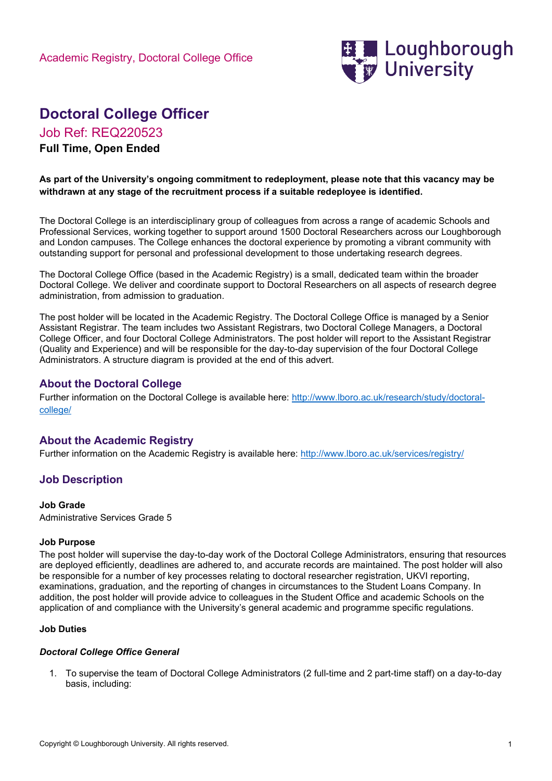

# Doctoral College Officer

Job Ref: REQ220523

# Full Time, Open Ended

#### As part of the University's ongoing commitment to redeployment, please note that this vacancy may be withdrawn at any stage of the recruitment process if a suitable redeployee is identified.

The Doctoral College is an interdisciplinary group of colleagues from across a range of academic Schools and Professional Services, working together to support around 1500 Doctoral Researchers across our Loughborough and London campuses. The College enhances the doctoral experience by promoting a vibrant community with outstanding support for personal and professional development to those undertaking research degrees.

The Doctoral College Office (based in the Academic Registry) is a small, dedicated team within the broader Doctoral College. We deliver and coordinate support to Doctoral Researchers on all aspects of research degree administration, from admission to graduation.

The post holder will be located in the Academic Registry. The Doctoral College Office is managed by a Senior Assistant Registrar. The team includes two Assistant Registrars, two Doctoral College Managers, a Doctoral College Officer, and four Doctoral College Administrators. The post holder will report to the Assistant Registrar (Quality and Experience) and will be responsible for the day-to-day supervision of the four Doctoral College Administrators. A structure diagram is provided at the end of this advert.

# About the Doctoral College

Further information on the Doctoral College is available here: http://www.lboro.ac.uk/research/study/doctoralcollege/

# About the Academic Registry

Further information on the Academic Registry is available here: http://www.lboro.ac.uk/services/registry/

# Job Description

#### Job Grade

Administrative Services Grade 5

#### Job Purpose

The post holder will supervise the day-to-day work of the Doctoral College Administrators, ensuring that resources are deployed efficiently, deadlines are adhered to, and accurate records are maintained. The post holder will also be responsible for a number of key processes relating to doctoral researcher registration, UKVI reporting, examinations, graduation, and the reporting of changes in circumstances to the Student Loans Company. In addition, the post holder will provide advice to colleagues in the Student Office and academic Schools on the application of and compliance with the University's general academic and programme specific regulations.

#### Job Duties

#### Doctoral College Office General

1. To supervise the team of Doctoral College Administrators (2 full-time and 2 part-time staff) on a day-to-day basis, including: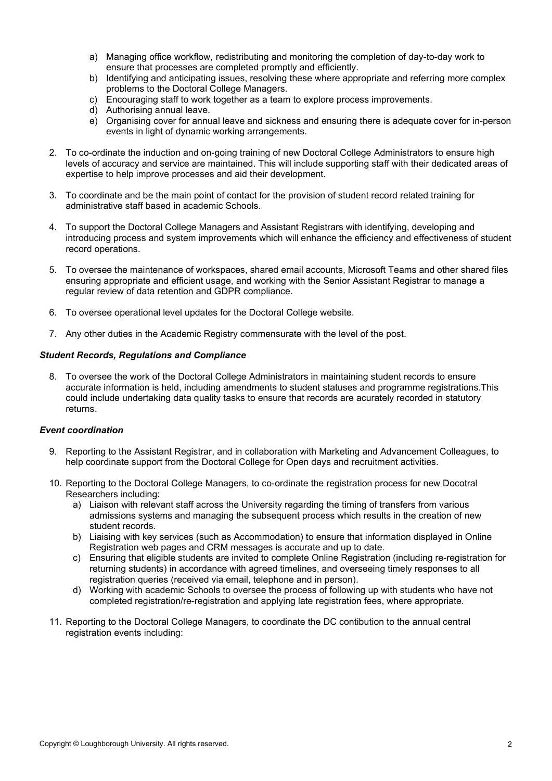- a) Managing office workflow, redistributing and monitoring the completion of day-to-day work to ensure that processes are completed promptly and efficiently.
- b) Identifying and anticipating issues, resolving these where appropriate and referring more complex problems to the Doctoral College Managers.
- c) Encouraging staff to work together as a team to explore process improvements.
- d) Authorising annual leave.
- e) Organising cover for annual leave and sickness and ensuring there is adequate cover for in-person events in light of dynamic working arrangements.
- 2. To co-ordinate the induction and on-going training of new Doctoral College Administrators to ensure high levels of accuracy and service are maintained. This will include supporting staff with their dedicated areas of expertise to help improve processes and aid their development.
- 3. To coordinate and be the main point of contact for the provision of student record related training for administrative staff based in academic Schools.
- 4. To support the Doctoral College Managers and Assistant Registrars with identifying, developing and introducing process and system improvements which will enhance the efficiency and effectiveness of student record operations.
- 5. To oversee the maintenance of workspaces, shared email accounts, Microsoft Teams and other shared files ensuring appropriate and efficient usage, and working with the Senior Assistant Registrar to manage a regular review of data retention and GDPR compliance.
- 6. To oversee operational level updates for the Doctoral College website.
- 7. Any other duties in the Academic Registry commensurate with the level of the post.

#### Student Records, Regulations and Compliance

8. To oversee the work of the Doctoral College Administrators in maintaining student records to ensure accurate information is held, including amendments to student statuses and programme registrations.This could include undertaking data quality tasks to ensure that records are acurately recorded in statutory returns.

#### Event coordination

- 9. Reporting to the Assistant Registrar, and in collaboration with Marketing and Advancement Colleagues, to help coordinate support from the Doctoral College for Open days and recruitment activities.
- 10. Reporting to the Doctoral College Managers, to co-ordinate the registration process for new Docotral Researchers including:
	- a) Liaison with relevant staff across the University regarding the timing of transfers from various admissions systems and managing the subsequent process which results in the creation of new student records.
	- b) Liaising with key services (such as Accommodation) to ensure that information displayed in Online Registration web pages and CRM messages is accurate and up to date.
	- c) Ensuring that eligible students are invited to complete Online Registration (including re-registration for returning students) in accordance with agreed timelines, and overseeing timely responses to all registration queries (received via email, telephone and in person).
	- d) Working with academic Schools to oversee the process of following up with students who have not completed registration/re-registration and applying late registration fees, where appropriate.
- 11. Reporting to the Doctoral College Managers, to coordinate the DC contibution to the annual central registration events including: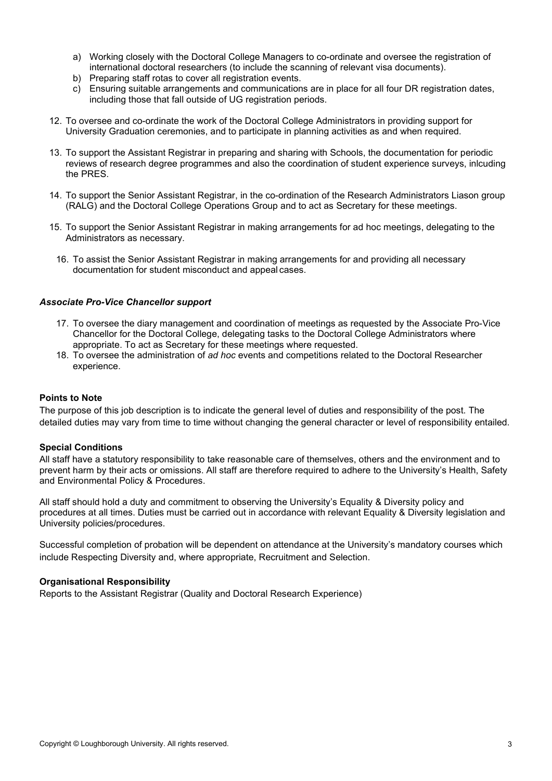- a) Working closely with the Doctoral College Managers to co-ordinate and oversee the registration of international doctoral researchers (to include the scanning of relevant visa documents).
- b) Preparing staff rotas to cover all registration events.
- c) Ensuring suitable arrangements and communications are in place for all four DR registration dates, including those that fall outside of UG registration periods.
- 12. To oversee and co-ordinate the work of the Doctoral College Administrators in providing support for University Graduation ceremonies, and to participate in planning activities as and when required.
- 13. To support the Assistant Registrar in preparing and sharing with Schools, the documentation for periodic reviews of research degree programmes and also the coordination of student experience surveys, inlcuding the PRES.
- 14. To support the Senior Assistant Registrar, in the co-ordination of the Research Administrators Liason group (RALG) and the Doctoral College Operations Group and to act as Secretary for these meetings.
- 15. To support the Senior Assistant Registrar in making arrangements for ad hoc meetings, delegating to the Administrators as necessary.
	- 16. To assist the Senior Assistant Registrar in making arrangements for and providing all necessary documentation for student misconduct and appeal cases.

#### Associate Pro-Vice Chancellor support

- 17. To oversee the diary management and coordination of meetings as requested by the Associate Pro-Vice Chancellor for the Doctoral College, delegating tasks to the Doctoral College Administrators where appropriate. To act as Secretary for these meetings where requested.
- 18. To oversee the administration of ad hoc events and competitions related to the Doctoral Researcher experience.

#### Points to Note

The purpose of this job description is to indicate the general level of duties and responsibility of the post. The detailed duties may vary from time to time without changing the general character or level of responsibility entailed.

#### Special Conditions

All staff have a statutory responsibility to take reasonable care of themselves, others and the environment and to prevent harm by their acts or omissions. All staff are therefore required to adhere to the University's Health, Safety and Environmental Policy & Procedures.

All staff should hold a duty and commitment to observing the University's Equality & Diversity policy and procedures at all times. Duties must be carried out in accordance with relevant Equality & Diversity legislation and University policies/procedures.

Successful completion of probation will be dependent on attendance at the University's mandatory courses which include Respecting Diversity and, where appropriate, Recruitment and Selection.

#### Organisational Responsibility

Reports to the Assistant Registrar (Quality and Doctoral Research Experience)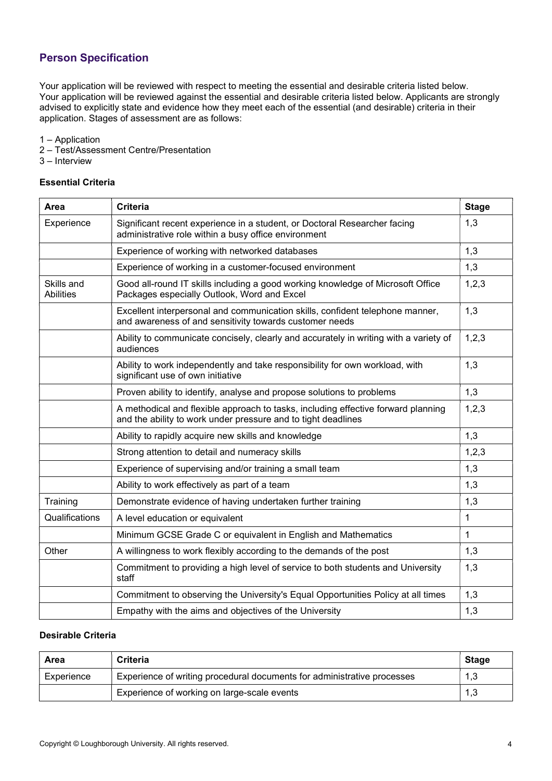# Person Specification

Your application will be reviewed with respect to meeting the essential and desirable criteria listed below. Your application will be reviewed against the essential and desirable criteria listed below. Applicants are strongly advised to explicitly state and evidence how they meet each of the essential (and desirable) criteria in their application. Stages of assessment are as follows:

1 – Application

- 2 Test/Assessment Centre/Presentation
- 3 Interview

### Essential Criteria

| Area                           | <b>Criteria</b>                                                                                                                                    | <b>Stage</b> |
|--------------------------------|----------------------------------------------------------------------------------------------------------------------------------------------------|--------------|
| Experience                     | Significant recent experience in a student, or Doctoral Researcher facing<br>administrative role within a busy office environment                  | 1,3          |
|                                | Experience of working with networked databases                                                                                                     | 1,3          |
|                                | Experience of working in a customer-focused environment                                                                                            | 1,3          |
| Skills and<br><b>Abilities</b> | Good all-round IT skills including a good working knowledge of Microsoft Office<br>Packages especially Outlook, Word and Excel                     | 1,2,3        |
|                                | Excellent interpersonal and communication skills, confident telephone manner,<br>and awareness of and sensitivity towards customer needs           | 1,3          |
|                                | Ability to communicate concisely, clearly and accurately in writing with a variety of<br>audiences                                                 | 1,2,3        |
|                                | Ability to work independently and take responsibility for own workload, with<br>significant use of own initiative                                  | 1,3          |
|                                | Proven ability to identify, analyse and propose solutions to problems                                                                              | 1,3          |
|                                | A methodical and flexible approach to tasks, including effective forward planning<br>and the ability to work under pressure and to tight deadlines | 1,2,3        |
|                                | Ability to rapidly acquire new skills and knowledge                                                                                                | 1,3          |
|                                | Strong attention to detail and numeracy skills                                                                                                     | 1,2,3        |
|                                | Experience of supervising and/or training a small team                                                                                             | 1,3          |
|                                | Ability to work effectively as part of a team                                                                                                      | 1,3          |
| Training                       | Demonstrate evidence of having undertaken further training                                                                                         | 1,3          |
| Qualifications                 | A level education or equivalent                                                                                                                    | 1            |
|                                | Minimum GCSE Grade C or equivalent in English and Mathematics                                                                                      | 1            |
| Other                          | A willingness to work flexibly according to the demands of the post                                                                                | 1,3          |
|                                | Commitment to providing a high level of service to both students and University<br>staff                                                           | 1,3          |
|                                | Commitment to observing the University's Equal Opportunities Policy at all times                                                                   | 1,3          |
|                                | Empathy with the aims and objectives of the University                                                                                             | 1,3          |

### Desirable Criteria

| Area       | <b>Criteria</b>                                                         | <b>Stage</b> |
|------------|-------------------------------------------------------------------------|--------------|
| Experience | Experience of writing procedural documents for administrative processes | 1,3          |
|            | Experience of working on large-scale events                             | 1,3          |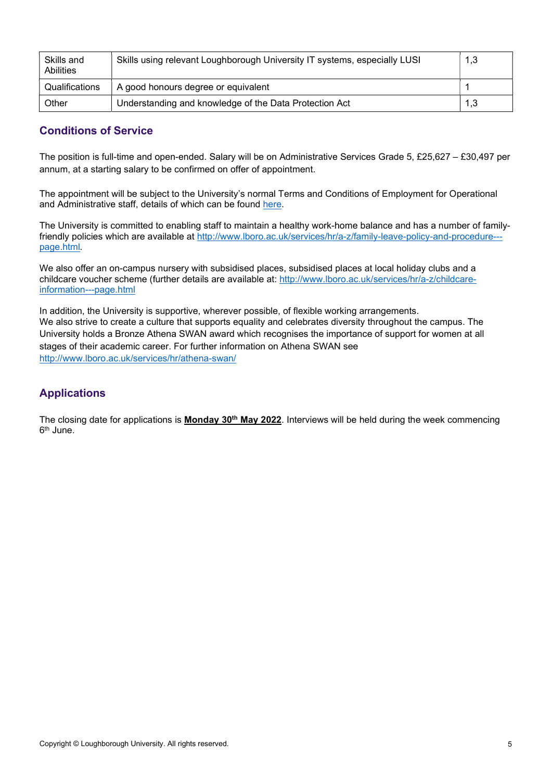| Skills and<br><b>Abilities</b> | Skills using relevant Loughborough University IT systems, especially LUSI | 1,3 |
|--------------------------------|---------------------------------------------------------------------------|-----|
| Qualifications                 | A good honours degree or equivalent                                       |     |
| Other                          | Understanding and knowledge of the Data Protection Act                    | 1,3 |

# Conditions of Service

The position is full-time and open-ended. Salary will be on Administrative Services Grade 5, £25,627 – £30,497 per annum, at a starting salary to be confirmed on offer of appointment.

The appointment will be subject to the University's normal Terms and Conditions of Employment for Operational and Administrative staff, details of which can be found here.

The University is committed to enabling staff to maintain a healthy work-home balance and has a number of familyfriendly policies which are available at http://www.lboro.ac.uk/services/hr/a-z/family-leave-policy-and-procedure-- page.html.

We also offer an on-campus nursery with subsidised places, subsidised places at local holiday clubs and a childcare voucher scheme (further details are available at: http://www.lboro.ac.uk/services/hr/a-z/childcareinformation---page.html

In addition, the University is supportive, wherever possible, of flexible working arrangements. We also strive to create a culture that supports equality and celebrates diversity throughout the campus. The University holds a Bronze Athena SWAN award which recognises the importance of support for women at all stages of their academic career. For further information on Athena SWAN see http://www.lboro.ac.uk/services/hr/athena-swan/

# Applications

The closing date for applications is **Monday 30<sup>th</sup> May 2022**. Interviews will be held during the week commencing 6<sup>th</sup> June.